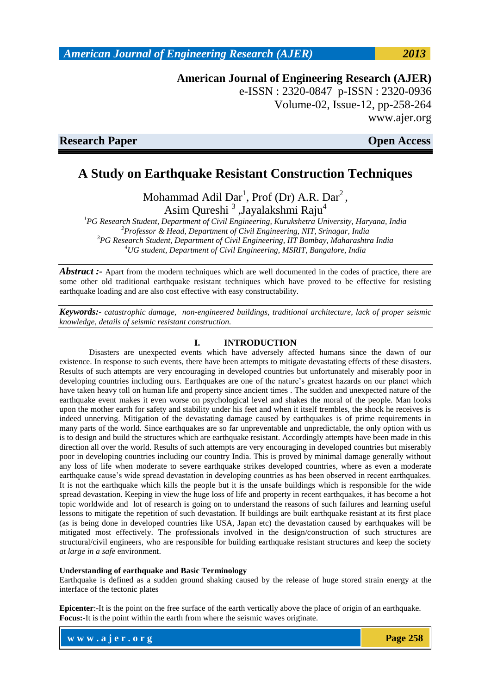**American Journal of Engineering Research (AJER)** e-ISSN : 2320-0847 p-ISSN : 2320-0936

Volume-02, Issue-12, pp-258-264 www.ajer.org

**Research Paper Contract Contract Contract Contract Contract Contract Contract Contract Contract Contract Contract Contract Contract Contract Contract Contract Contract Contract Contract Contract Contract Contract Contract** 

# **A Study on Earthquake Resistant Construction Techniques**

Mohammad Adil Dar<sup>1</sup>, Prof (Dr) A.R. Dar<sup>2</sup>, Asim Qureshi<sup>3</sup>, Jayalakshmi Raju<sup>4</sup>

*PG Research Student, Department of Civil Engineering, Kurukshetra University, Haryana, India Professor & Head, Department of Civil Engineering, NIT, Srinagar, India PG Research Student, Department of Civil Engineering, IIT Bombay, Maharashtra India UG student, Department of Civil Engineering, MSRIT, Bangalore, India*

*Abstract* :- Apart from the modern techniques which are well documented in the codes of practice, there are some other old traditional earthquake resistant techniques which have proved to be effective for resisting earthquake loading and are also cost effective with easy constructability.

*Keywords:- catastrophic damage, non-engineered buildings, traditional architecture, lack of proper seismic knowledge, details of seismic resistant construction.*

## **I. INTRODUCTION**

Disasters are unexpected events which have adversely affected humans since the dawn of our existence. In response to such events, there have been attempts to mitigate devastating effects of these disasters. Results of such attempts are very encouraging in developed countries but unfortunately and miserably poor in developing countries including ours. Earthquakes are one of the nature's greatest hazards on our planet which have taken heavy toll on human life and property since ancient times . The sudden and unexpected nature of the earthquake event makes it even worse on psychological level and shakes the moral of the people. Man looks upon the mother earth for safety and stability under his feet and when it itself trembles, the shock he receives is indeed unnerving. Mitigation of the devastating damage caused by earthquakes is of prime requirements in many parts of the world. Since earthquakes are so far unpreventable and unpredictable, the only option with us is to design and build the structures which are earthquake resistant. Accordingly attempts have been made in this direction all over the world. Results of such attempts are very encouraging in developed countries but miserably poor in developing countries including our country India. This is proved by minimal damage generally without any loss of life when moderate to severe earthquake strikes developed countries, where as even a moderate earthquake cause's wide spread devastation in developing countries as has been observed in recent earthquakes. It is not the earthquake which kills the people but it is the unsafe buildings which is responsible for the wide spread devastation. Keeping in view the huge loss of life and property in recent earthquakes, it has become a hot topic worldwide and lot of research is going on to understand the reasons of such failures and learning useful lessons to mitigate the repetition of such devastation. If buildings are built earthquake resistant at its first place (as is being done in developed countries like USA, Japan etc) the devastation caused by earthquakes will be mitigated most effectively. The professionals involved in the design/construction of such structures are structural/civil engineers, who are responsible for building earthquake resistant structures and keep the society *at large in a safe* environment.

#### **Understanding of earthquake and Basic Terminology**

Earthquake is defined as a sudden ground shaking caused by the release of huge stored strain energy at the interface of the tectonic plates

**Epicenter**:-It is the point on the free surface of the earth vertically above the place of origin of an earthquake. **Focus:-**It is the point within the earth from where the seismic waves originate.

**w w w . a j e r . o r g Page 258**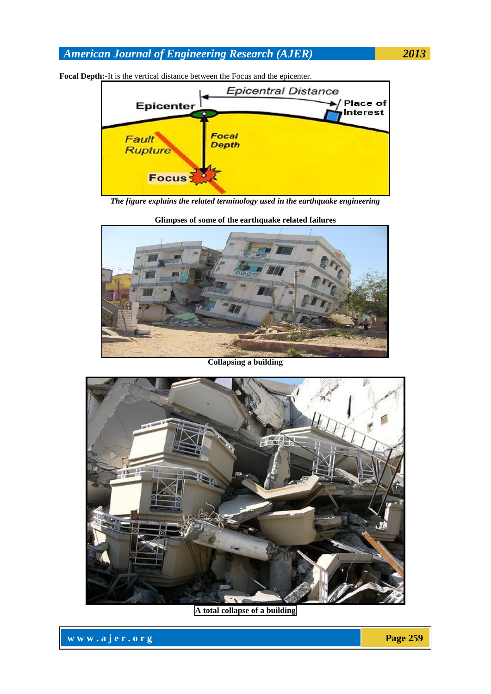

**Focal Depth:-**It is the vertical distance between the Focus and the epicenter.

*The figure explains the related terminology used in the earthquake engineering*



**Glimpses of some of the earthquake related failures**

**Collapsing a building**



**A total collapse of a building**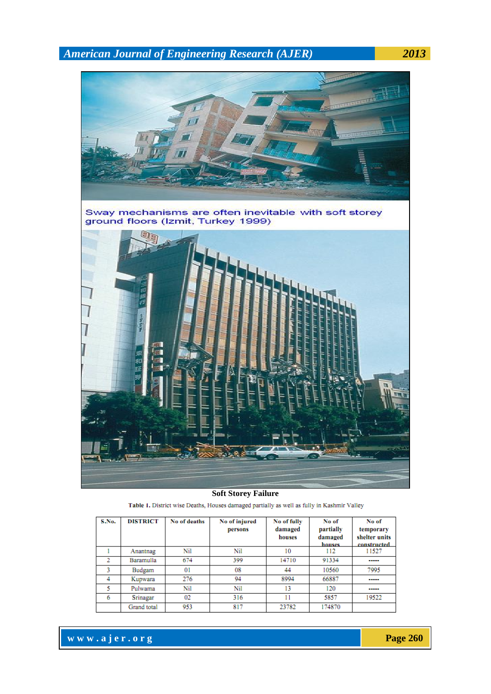

### **Soft Storey Failure**

| Table 1. District wise Deaths, Houses damaged partially as well as fully in Kashmir Valley |  |
|--------------------------------------------------------------------------------------------|--|
|--------------------------------------------------------------------------------------------|--|

| S.No. | <b>DISTRICT</b> | No of deaths   | No of injured<br>persons | No of fully<br>damaged<br>houses | No of<br>partially<br>damaged<br>houses | No of<br>temporary<br>shelter units<br>constructed |
|-------|-----------------|----------------|--------------------------|----------------------------------|-----------------------------------------|----------------------------------------------------|
|       | Anantnag        | Nil            | Nil                      | 10                               | 112                                     | 11527                                              |
|       | Baramulla       | 674            | 399                      | 14710                            | 91334                                   | -----                                              |
|       | Budgam          | 0 <sup>1</sup> | 08                       | 44                               | 10560                                   | 7995                                               |
| 4     | Kupwara         | 276            | 94                       | 8994                             | 66887                                   | -----                                              |
|       | Pulwama         | Nil            | Nil                      | 13                               | 120                                     | -----                                              |
| 6     | Srinagar        | 02             | 316                      |                                  | 5857                                    | 19522                                              |
|       | Grand total     | 953            | 817                      | 23782                            | 174870                                  |                                                    |

**www.ajer.org Page 260**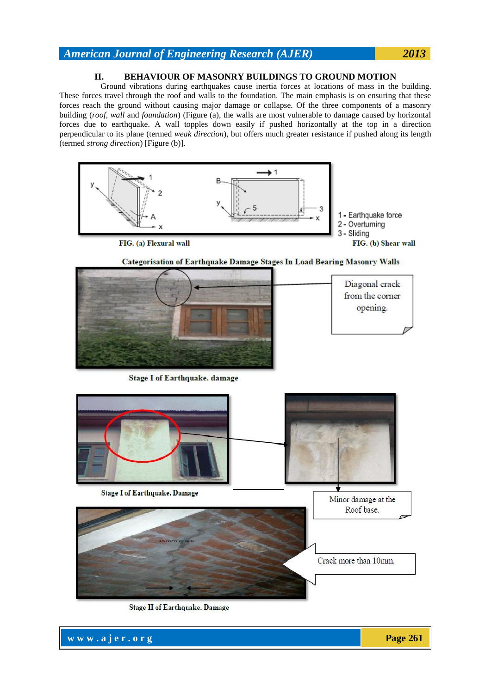## **II. BEHAVIOUR OF MASONRY BUILDINGS TO GROUND MOTION**

 Ground vibrations during earthquakes cause inertia forces at locations of mass in the building. These forces travel through the roof and walls to the foundation. The main emphasis is on ensuring that these forces reach the ground without causing major damage or collapse. Of the three components of a masonry building (*roof*, *wall* and *foundation*) (Figure (a), the walls are most vulnerable to damage caused by horizontal forces due to earthquake. A wall topples down easily if pushed horizontally at the top in a direction perpendicular to its plane (termed *weak direction*), but offers much greater resistance if pushed along its length (termed *strong direction*) [Figure (b)].



Categorisation of Earthquake Damage Stages In Load Bearing Masonry Walls



**Stage I of Earthquake. damage** 



Stage II of Earthquake. Damage

**www.ajer.org Page 261**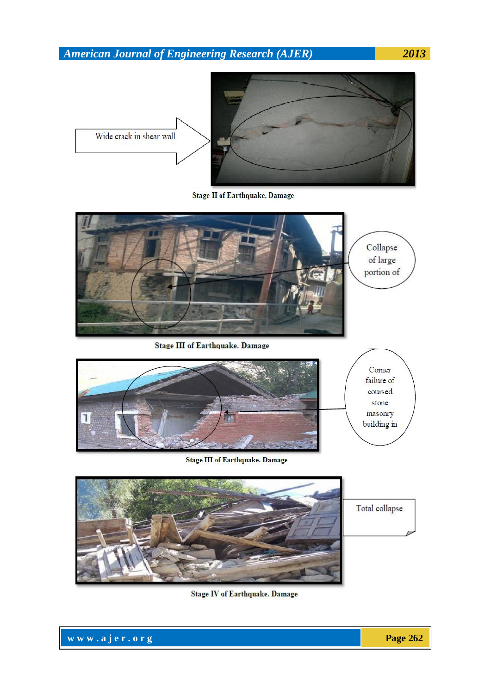

Stage II of Earthquake. Damage



Stage IV of Earthquake. Damage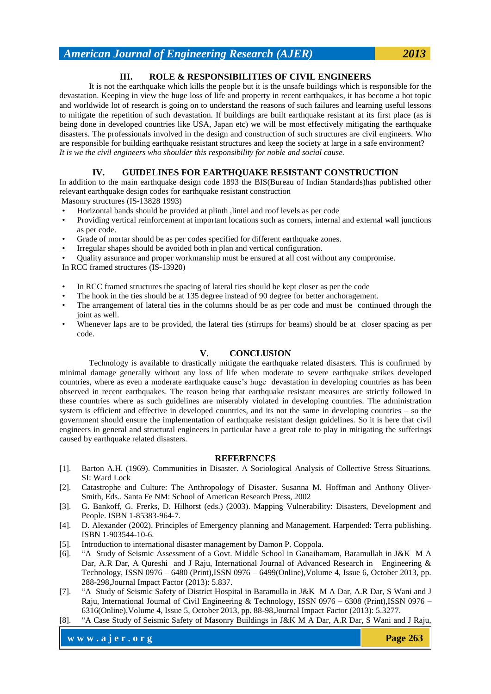## **III. ROLE & RESPONSIBILITIES OF CIVIL ENGINEERS**

It is not the earthquake which kills the people but it is the unsafe buildings which is responsible for the devastation. Keeping in view the huge loss of life and property in recent earthquakes, it has become a hot topic and worldwide lot of research is going on to understand the reasons of such failures and learning useful lessons to mitigate the repetition of such devastation. If buildings are built earthquake resistant at its first place (as is being done in developed countries like USA, Japan etc) we will be most effectively mitigating the earthquake disasters. The professionals involved in the design and construction of such structures are civil engineers. Who are responsible for building earthquake resistant structures and keep the society at large in a safe environment? *It is we the civil engineers who shoulder this responsibility for noble and social cause.*

# **IV. GUIDELINES FOR EARTHQUAKE RESISTANT CONSTRUCTION**

In addition to the main earthquake design code 1893 the BIS(Bureau of Indian Standards)has published other relevant earthquake design codes for earthquake resistant construction

Masonry structures (IS-13828 1993)

- Horizontal bands should be provided at plinth ,lintel and roof levels as per code
- Providing vertical reinforcement at important locations such as corners, internal and external wall junctions as per code.
- Grade of mortar should be as per codes specified for different earthquake zones.
- Irregular shapes should be avoided both in plan and vertical configuration.
- Quality assurance and proper workmanship must be ensured at all cost without any compromise.

In RCC framed structures (IS-13920)

- In RCC framed structures the spacing of lateral ties should be kept closer as per the code
- The hook in the ties should be at 135 degree instead of 90 degree for better anchoragement.
- The arrangement of lateral ties in the columns should be as per code and must be continued through the joint as well.
- Whenever laps are to be provided, the lateral ties (stirrups for beams) should be at closer spacing as per code.

## **V. CONCLUSION**

Technology is available to drastically mitigate the earthquake related disasters. This is confirmed by minimal damage generally without any loss of life when moderate to severe earthquake strikes developed countries, where as even a moderate earthquake cause's huge devastation in developing countries as has been observed in recent earthquakes. The reason being that earthquake resistant measures are strictly followed in these countries where as such guidelines are miserably violated in developing countries. The administration system is efficient and effective in developed countries, and its not the same in developing countries – so the government should ensure the implementation of earthquake resistant design guidelines. So it is here that civil engineers in general and structural engineers in particular have a great role to play in mitigating the sufferings caused by earthquake related disasters.

#### **REFERENCES**

- [1]. Barton A.H. (1969). Communities in Disaster. A Sociological Analysis of Collective Stress Situations. SI: Ward Lock
- [2]. Catastrophe and Culture: The Anthropology of Disaster. Susanna M. Hoffman and Anthony Oliver-Smith, Eds.. Santa Fe NM: School of American Research Press, 2002
- [3]. G. Bankoff, G. Frerks, D. Hilhorst (eds.) (2003). Mapping Vulnerability: Disasters, Development and People. ISBN 1-85383-964-7.
- [4]. D. Alexander (2002). Principles of Emergency planning and Management. Harpended: Terra publishing. ISBN 1-903544-10-6.
- [5]. Introduction to international disaster management by Damon P. Coppola.
- [6]. "A Study of Seismic Assessment of a Govt. Middle School in Ganaihamam, Baramullah in J&K M A Dar, A.R Dar, A Qureshi and J Raju, International Journal of Advanced Research in Engineering & Technology, ISSN 0976 – 6480 (Print),ISSN 0976 – 6499(Online),Volume 4, Issue 6, October 2013, pp. 288-298,Journal Impact Factor (2013): 5.837.
- [7]. "A Study of Seismic Safety of District Hospital in Baramulla in J&K M A Dar, A.R Dar, S Wani and J Raju, International Journal of Civil Engineering & Technology, ISSN 0976 – 6308 (Print),ISSN 0976 – 6316(Online),Volume 4, Issue 5, October 2013, pp. 88-98,Journal Impact Factor (2013): 5.3277.
- [8]. "A Case Study of Seismic Safety of Masonry Buildings in J&K M A Dar, A.R Dar, S Wani and J Raju,

**www.ajer.org Page 263**